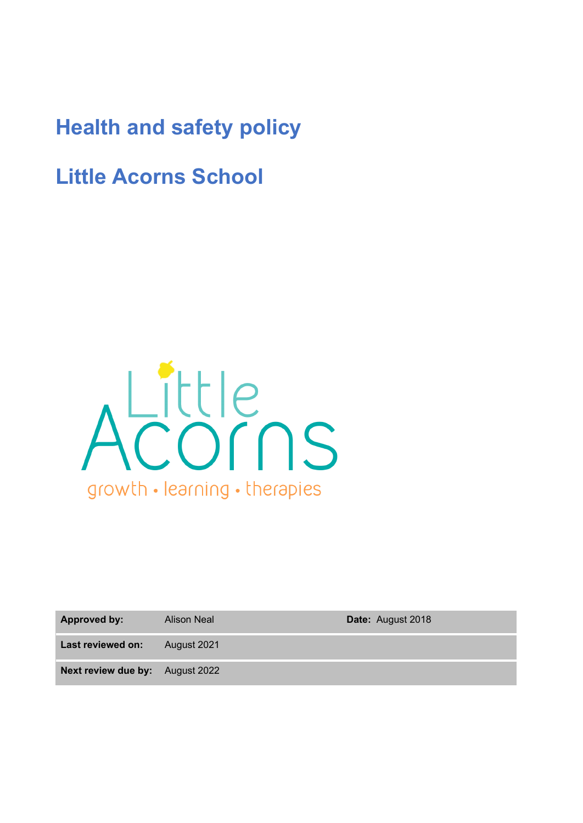# **Health and safety policy**

**Little Acorns School**



**Approved by:** Alison Neal **Date:** August 2018

**Last reviewed on:** August 2021

**Next review due by:** August 2022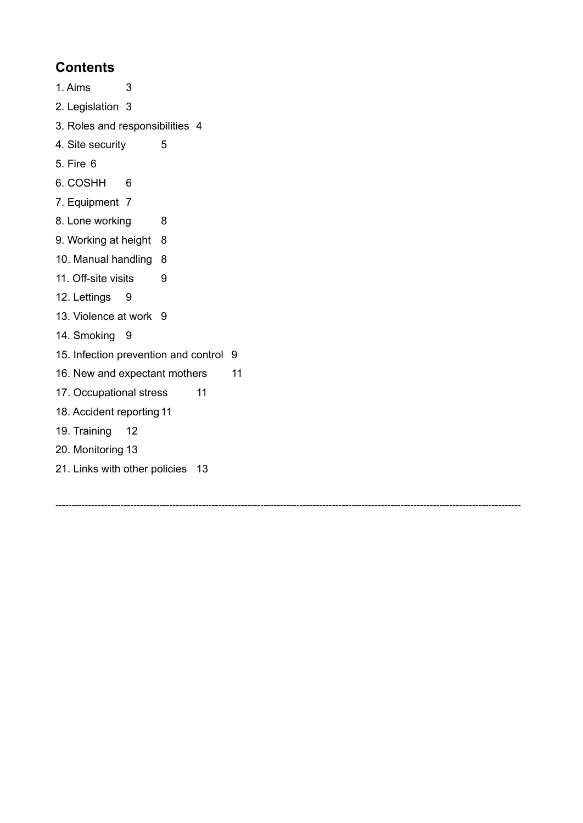# **Contents**

- 1. Aims [3](#page-1-0)
- 2. Legislation [3](#page-2-0)
- 3. Roles and responsibilities [4](#page-2-1)
- 4. Site security [5](#page-3-0)
- 5. Fire [6](#page-3-1)
- 6. COSHH [6](#page-4-0)
- 7. Equipment [7](#page-4-1)
- [8](#page-5-0). Lone working 8
- 9. Working at height [8](#page-5-1)
- 10. Manual handling [8](#page-5-2)
- 11. Off-site visits [9](#page-6-0)
- 12. Lettings 9
- 13. Violence at work [9](#page-6-1)
- 14. Smoking [9](#page-6-2)
- 15. Infection prevention and control [9](#page-6-3)
- 16. New and expectant mothers [11](#page-7-0)
- 17. Occupational stress [11](#page-7-1)
- 18. Accident reporting [11](#page-7-2)
- 19. Training [12](#page-8-0)
- 20. Monitoring [13](#page-9-0)
- 21. Links with other policies [13](#page-9-1)

<span id="page-1-0"></span>-----------------------------------------------------------------------------------------------------------------------------------------------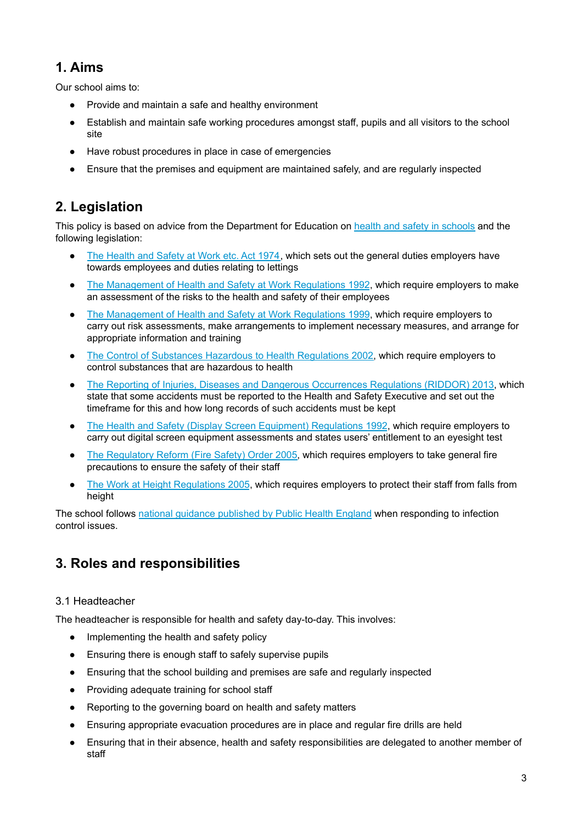# **1. Aims**

Our school aims to:

- Provide and maintain a safe and healthy environment
- Establish and maintain safe working procedures amongst staff, pupils and all visitors to the school site
- Have robust procedures in place in case of emergencies
- <span id="page-2-0"></span>Ensure that the premises and equipment are maintained safely, and are regularly inspected

# **2. Legislation**

This policy is based on advice from the Department for Education on health and safety in [schools](https://www.gov.uk/government/publications/health-and-safety-advice-for-schools) and the following legislation:

- The [Health](http://www.legislation.gov.uk/ukpga/1974/37) and Safety at Work etc. Act 1974, which sets out the general duties employers have towards employees and duties relating to lettings
- The [Management](http://www.legislation.gov.uk/uksi/1992/2051/regulation/3/made) of Health and Safety at Work Regulations 1992, which require employers to make an assessment of the risks to the health and safety of their employees
- The [Management](http://www.legislation.gov.uk/uksi/1999/3242/contents/made) of Health and Safety at Work Regulations 1999, which require employers to carry out risk assessments, make arrangements to implement necessary measures, and arrange for appropriate information and training
- The Control of Substances Hazardous to Health [Regulations](http://www.legislation.gov.uk/uksi/2002/2677/contents/made) 2002, which require employers to control substances that are hazardous to health
- The Reporting of Injuries, Diseases and Dangerous [Occurrences](http://www.legislation.gov.uk/uksi/2013/1471/schedule/1/paragraph/1/made) Regulations (RIDDOR) 2013, which state that some accidents must be reported to the Health and Safety Executive and set out the timeframe for this and how long records of such accidents must be kept
- The Health and Safety (Display Screen Equipment) [Regulations](http://www.legislation.gov.uk/uksi/1992/2792/contents/made) 1992, which require employers to carry out digital screen equipment assessments and states users' entitlement to an eyesight test
- The [Regulatory](http://www.legislation.gov.uk/uksi/2005/1541/part/2/made) Reform (Fire Safety) Order 2005, which requires employers to take general fire precautions to ensure the safety of their staff
- The Work at Height [Regulations](http://www.legislation.gov.uk/uksi/2005/735/contents/made) 2005, which requires employers to protect their staff from falls from height

<span id="page-2-1"></span>The school follows national guidance [published](https://www.gov.uk/government/uploads/system/uploads/attachment_data/file/522337/Guidance_on_infection_control_in_schools.pdf) by Public Health England when responding to infection control issues.

# **3. Roles and responsibilities**

#### 3.1 Headteacher

The headteacher is responsible for health and safety day-to-day. This involves:

- Implementing the health and safety policy
- Ensuring there is enough staff to safely supervise pupils
- Ensuring that the school building and premises are safe and regularly inspected
- Providing adequate training for school staff
- Reporting to the governing board on health and safety matters
- Ensuring appropriate evacuation procedures are in place and regular fire drills are held
- Ensuring that in their absence, health and safety responsibilities are delegated to another member of staff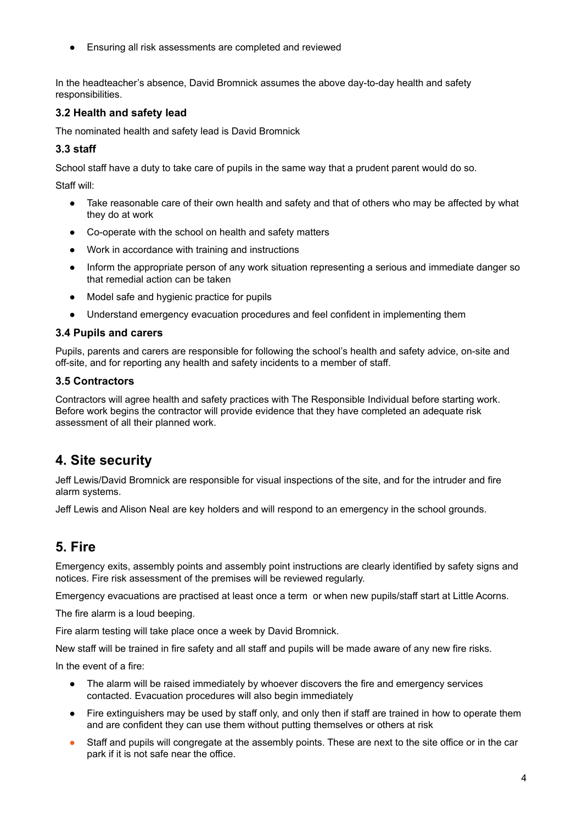Ensuring all risk assessments are completed and reviewed

In the headteacher's absence, David Bromnick assumes the above day-to-day health and safety responsibilities.

#### **3.2 Health and safety lead**

The nominated health and safety lead is David Bromnick

#### **3.3 staff**

School staff have a duty to take care of pupils in the same way that a prudent parent would do so.

Staff will:

- Take reasonable care of their own health and safety and that of others who may be affected by what they do at work
- Co-operate with the school on health and safety matters
- Work in accordance with training and instructions
- Inform the appropriate person of any work situation representing a serious and immediate danger so that remedial action can be taken
- Model safe and hygienic practice for pupils
- Understand emergency evacuation procedures and feel confident in implementing them

#### **3.4 Pupils and carers**

Pupils, parents and carers are responsible for following the school's health and safety advice, on-site and off-site, and for reporting any health and safety incidents to a member of staff.

#### **3.5 Contractors**

<span id="page-3-0"></span>Contractors will agree health and safety practices with The Responsible Individual before starting work. Before work begins the contractor will provide evidence that they have completed an adequate risk assessment of all their planned work.

### **4. Site security**

Jeff Lewis/David Bromnick are responsible for visual inspections of the site, and for the intruder and fire alarm systems.

<span id="page-3-1"></span>Jeff Lewis and Alison Neal are key holders and will respond to an emergency in the school grounds.

### **5. Fire**

Emergency exits, assembly points and assembly point instructions are clearly identified by safety signs and notices. Fire risk assessment of the premises will be reviewed regularly.

Emergency evacuations are practised at least once a term or when new pupils/staff start at Little Acorns.

The fire alarm is a loud beeping.

Fire alarm testing will take place once a week by David Bromnick.

New staff will be trained in fire safety and all staff and pupils will be made aware of any new fire risks.

In the event of a fire:

- The alarm will be raised immediately by whoever discovers the fire and emergency services contacted. Evacuation procedures will also begin immediately
- Fire extinguishers may be used by staff only, and only then if staff are trained in how to operate them and are confident they can use them without putting themselves or others at risk
- Staff and pupils will congregate at the assembly points. These are next to the site office or in the car park if it is not safe near the office.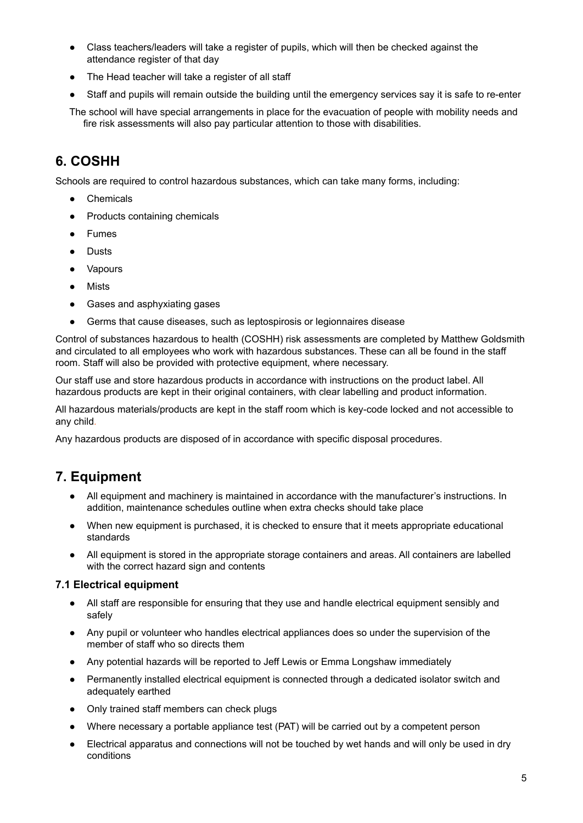- Class teachers/leaders will take a register of pupils, which will then be checked against the attendance register of that day
- The Head teacher will take a register of all staff
- Staff and pupils will remain outside the building until the emergency services say it is safe to re-enter

<span id="page-4-0"></span>The school will have special arrangements in place for the evacuation of people with mobility needs and fire risk assessments will also pay particular attention to those with disabilities.

## **6. COSHH**

Schools are required to control hazardous substances, which can take many forms, including:

- Chemicals
- Products containing chemicals
- Fumes
- Dusts
- Vapours
- Mists
- Gases and asphyxiating gases
- Germs that cause diseases, such as leptospirosis or legionnaires disease

Control of substances hazardous to health (COSHH) risk assessments are completed by Matthew Goldsmith and circulated to all employees who work with hazardous substances. These can all be found in the staff room. Staff will also be provided with protective equipment, where necessary.

Our staff use and store hazardous products in accordance with instructions on the product label. All hazardous products are kept in their original containers, with clear labelling and product information.

All hazardous materials/products are kept in the staff room which is key-code locked and not accessible to any child*.*

<span id="page-4-1"></span>Any hazardous products are disposed of in accordance with specific disposal procedures.

### **7. Equipment**

- All equipment and machinery is maintained in accordance with the manufacturer's instructions. In addition, maintenance schedules outline when extra checks should take place
- When new equipment is purchased, it is checked to ensure that it meets appropriate educational standards
- All equipment is stored in the appropriate storage containers and areas. All containers are labelled with the correct hazard sign and contents

#### **7.1 Electrical equipment**

- All staff are responsible for ensuring that they use and handle electrical equipment sensibly and safely
- Any pupil or volunteer who handles electrical appliances does so under the supervision of the member of staff who so directs them
- Any potential hazards will be reported to Jeff Lewis or Emma Longshaw immediately
- Permanently installed electrical equipment is connected through a dedicated isolator switch and adequately earthed
- Only trained staff members can check plugs
- Where necessary a portable appliance test (PAT) will be carried out by a competent person
- Electrical apparatus and connections will not be touched by wet hands and will only be used in dry conditions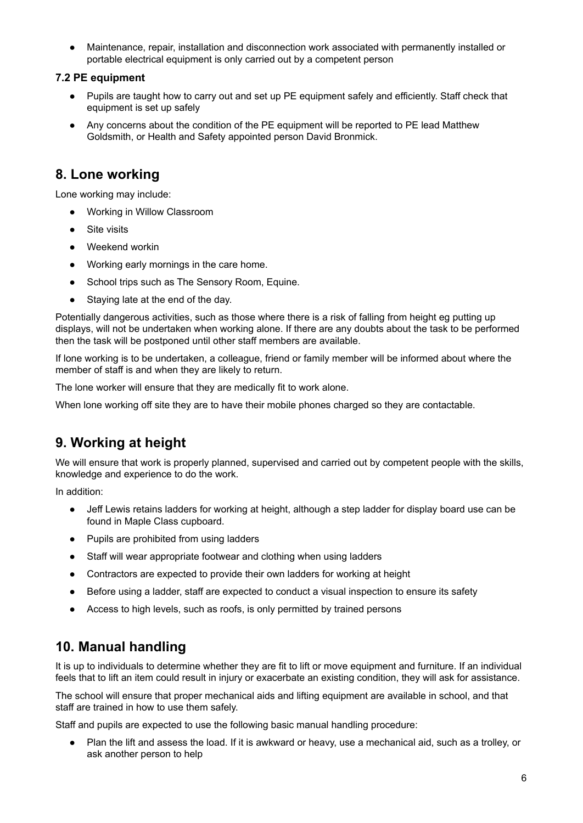Maintenance, repair, installation and disconnection work associated with permanently installed or portable electrical equipment is only carried out by a competent person

#### **7.2 PE equipment**

- Pupils are taught how to carry out and set up PE equipment safely and efficiently. Staff check that equipment is set up safely
- <span id="page-5-0"></span>● Any concerns about the condition of the PE equipment will be reported to PE lead Matthew Goldsmith, or Health and Safety appointed person David Bronmick.

### **8. Lone working**

Lone working may include:

- Working in Willow Classroom
- Site visits
- Weekend workin
- Working early mornings in the care home.
- School trips such as The Sensory Room, Equine.
- Staying late at the end of the day.

Potentially dangerous activities, such as those where there is a risk of falling from height eg putting up displays, will not be undertaken when working alone. If there are any doubts about the task to be performed then the task will be postponed until other staff members are available.

If lone working is to be undertaken, a colleague, friend or family member will be informed about where the member of staff is and when they are likely to return.

The lone worker will ensure that they are medically fit to work alone.

<span id="page-5-1"></span>When lone working off site they are to have their mobile phones charged so they are contactable.

## **9. Working at height**

We will ensure that work is properly planned, supervised and carried out by competent people with the skills, knowledge and experience to do the work.

In addition:

- Jeff Lewis retains ladders for working at height, although a step ladder for display board use can be found in Maple Class cupboard.
- Pupils are prohibited from using ladders
- Staff will wear appropriate footwear and clothing when using ladders
- Contractors are expected to provide their own ladders for working at height
- Before using a ladder, staff are expected to conduct a visual inspection to ensure its safety
- <span id="page-5-2"></span>● Access to high levels, such as roofs, is only permitted by trained persons

### **10. Manual handling**

It is up to individuals to determine whether they are fit to lift or move equipment and furniture. If an individual feels that to lift an item could result in injury or exacerbate an existing condition, they will ask for assistance.

The school will ensure that proper mechanical aids and lifting equipment are available in school, and that staff are trained in how to use them safely.

Staff and pupils are expected to use the following basic manual handling procedure:

Plan the lift and assess the load. If it is awkward or heavy, use a mechanical aid, such as a trolley, or ask another person to help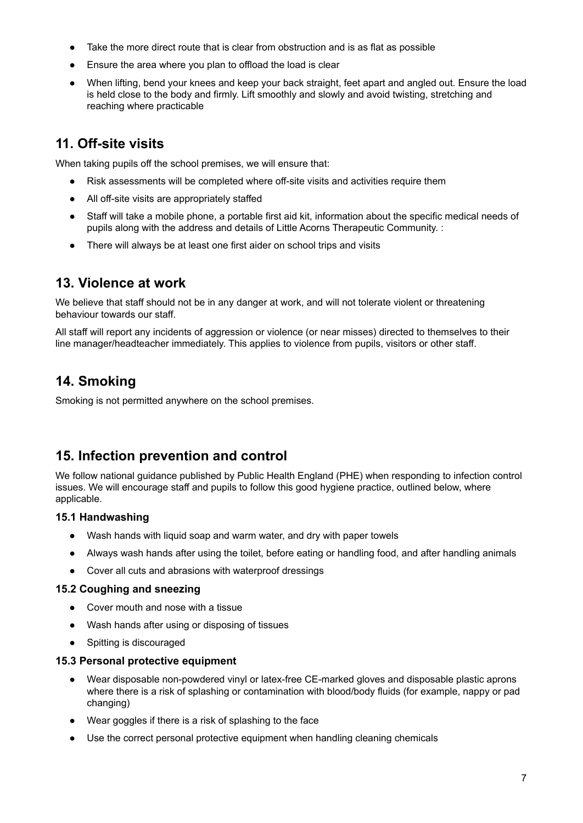- Take the more direct route that is clear from obstruction and is as flat as possible
- Ensure the area where you plan to offload the load is clear
- <span id="page-6-0"></span>When lifting, bend your knees and keep your back straight, feet apart and angled out. Ensure the load is held close to the body and firmly. Lift smoothly and slowly and avoid twisting, stretching and reaching where practicable

# **11. Off-site visits**

When taking pupils off the school premises, we will ensure that:

- Risk assessments will be completed where off-site visits and activities require them
- All off-site visits are appropriately staffed
- Staff will take a mobile phone, a portable first aid kit, information about the specific medical needs of pupils along with the address and details of Little Acorns Therapeutic Community. :
- <span id="page-6-1"></span>● There will always be at least one first aider on school trips and visits

### **13. Violence at work**

We believe that staff should not be in any danger at work, and will not tolerate violent or threatening behaviour towards our staff.

<span id="page-6-2"></span>All staff will report any incidents of aggression or violence (or near misses) directed to themselves to their line manager/headteacher immediately. This applies to violence from pupils, visitors or other staff.

# **14. Smoking**

<span id="page-6-3"></span>Smoking is not permitted anywhere on the school premises.

### **15. Infection prevention and control**

We follow national guidance published by Public Health England (PHE) when responding to infection control issues. We will encourage staff and pupils to follow this good hygiene practice, outlined below, where applicable.

#### **15.1 Handwashing**

- Wash hands with liquid soap and warm water, and dry with paper towels
- Always wash hands after using the toilet, before eating or handling food, and after handling animals
- Cover all cuts and abrasions with waterproof dressings

#### **15.2 Coughing and sneezing**

- Cover mouth and nose with a tissue
- Wash hands after using or disposing of tissues
- Spitting is discouraged

#### **15.3 Personal protective equipment**

- Wear disposable non-powdered vinyl or latex-free CE-marked gloves and disposable plastic aprons where there is a risk of splashing or contamination with blood/body fluids (for example, nappy or pad changing)
- Wear goggles if there is a risk of splashing to the face
- Use the correct personal protective equipment when handling cleaning chemicals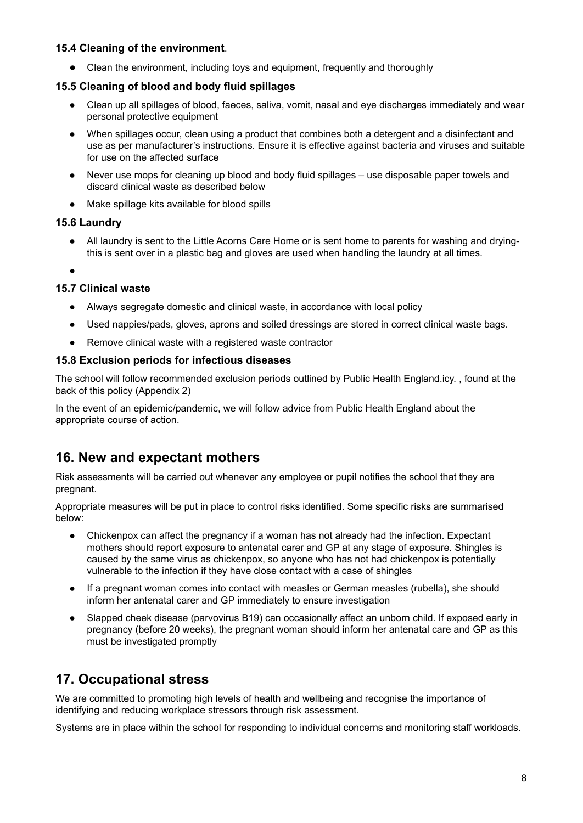#### **15.4 Cleaning of the environment**.

● Clean the environment, including toys and equipment, frequently and thoroughly

#### **15.5 Cleaning of blood and body fluid spillages**

- Clean up all spillages of blood, faeces, saliva, vomit, nasal and eye discharges immediately and wear personal protective equipment
- When spillages occur, clean using a product that combines both a detergent and a disinfectant and use as per manufacturer's instructions. Ensure it is effective against bacteria and viruses and suitable for use on the affected surface
- Never use mops for cleaning up blood and body fluid spillages use disposable paper towels and discard clinical waste as described below
- Make spillage kits available for blood spills

#### **15.6 Laundry**

- All laundry is sent to the Little Acorns Care Home or is sent home to parents for washing and dryingthis is sent over in a plastic bag and gloves are used when handling the laundry at all times.
- **。**

#### **15.7 Clinical waste**

- Always segregate domestic and clinical waste, in accordance with local policy
- Used nappies/pads, gloves, aprons and soiled dressings are stored in correct clinical waste bags.
- Remove clinical waste with a registered waste contractor

#### **15.8 Exclusion periods for infectious diseases**

The school will follow recommended exclusion periods outlined by Public Health England.icy. , found at the back of this policy (Appendix 2)

<span id="page-7-0"></span>In the event of an epidemic/pandemic, we will follow advice from Public Health England about the appropriate course of action.

### **16. New and expectant mothers**

Risk assessments will be carried out whenever any employee or pupil notifies the school that they are pregnant.

Appropriate measures will be put in place to control risks identified. Some specific risks are summarised below:

- Chickenpox can affect the pregnancy if a woman has not already had the infection. Expectant mothers should report exposure to antenatal carer and GP at any stage of exposure. Shingles is caused by the same virus as chickenpox, so anyone who has not had chickenpox is potentially vulnerable to the infection if they have close contact with a case of shingles
- If a pregnant woman comes into contact with measles or German measles (rubella), she should inform her antenatal carer and GP immediately to ensure investigation
- <span id="page-7-1"></span>Slapped cheek disease (parvovirus B19) can occasionally affect an unborn child. If exposed early in pregnancy (before 20 weeks), the pregnant woman should inform her antenatal care and GP as this must be investigated promptly

### **17. Occupational stress**

We are committed to promoting high levels of health and wellbeing and recognise the importance of identifying and reducing workplace stressors through risk assessment.

<span id="page-7-2"></span>Systems are in place within the school for responding to individual concerns and monitoring staff workloads.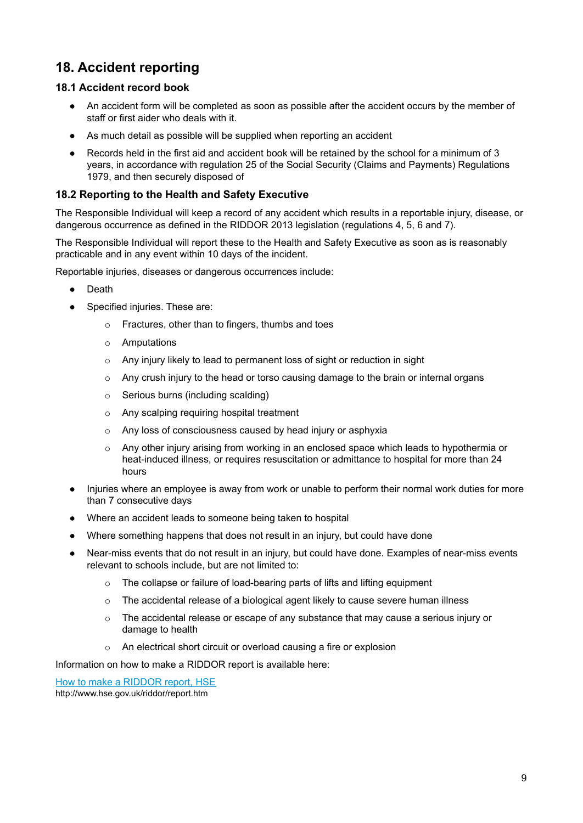# **18. Accident reporting**

#### **18.1 Accident record book**

- An accident form will be completed as soon as possible after the accident occurs by the member of staff or first aider who deals with it.
- As much detail as possible will be supplied when reporting an accident
- Records held in the first aid and accident book will be retained by the school for a minimum of 3 years, in accordance with regulation 25 of the Social Security (Claims and Payments) Regulations 1979, and then securely disposed of

#### **18.2 Reporting to the Health and Safety Executive**

The Responsible Individual will keep a record of any accident which results in a reportable injury, disease, or dangerous occurrence as defined in the RIDDOR 2013 legislation (regulations 4, 5, 6 and 7).

The Responsible Individual will report these to the Health and Safety Executive as soon as is reasonably practicable and in any event within 10 days of the incident.

Reportable injuries, diseases or dangerous occurrences include:

- Death
- Specified injuries. These are:
	- o Fractures, other than to fingers, thumbs and toes
	- o Amputations
	- o Any injury likely to lead to permanent loss of sight or reduction in sight
	- $\circ$  Any crush injury to the head or torso causing damage to the brain or internal organs
	- o Serious burns (including scalding)
	- o Any scalping requiring hospital treatment
	- o Any loss of consciousness caused by head injury or asphyxia
	- $\circ$  Any other injury arising from working in an enclosed space which leads to hypothermia or heat-induced illness, or requires resuscitation or admittance to hospital for more than 24 hours
- Injuries where an employee is away from work or unable to perform their normal work duties for more than 7 consecutive days
- Where an accident leads to someone being taken to hospital
- Where something happens that does not result in an injury, but could have done
- Near-miss events that do not result in an injury, but could have done. Examples of near-miss events relevant to schools include, but are not limited to:
	- o The collapse or failure of load-bearing parts of lifts and lifting equipment
	- $\circ$  The accidental release of a biological agent likely to cause severe human illness
	- $\circ$  The accidental release or escape of any substance that may cause a serious injury or damage to health
	- o An electrical short circuit or overload causing a fire or explosion

Information on how to make a RIDDOR report is available here:

How to make a [RIDDOR](http://www.hse.gov.uk/riddor/report.htm) report, HSE

<span id="page-8-0"></span>http://www.hse.gov.uk/riddor/report.htm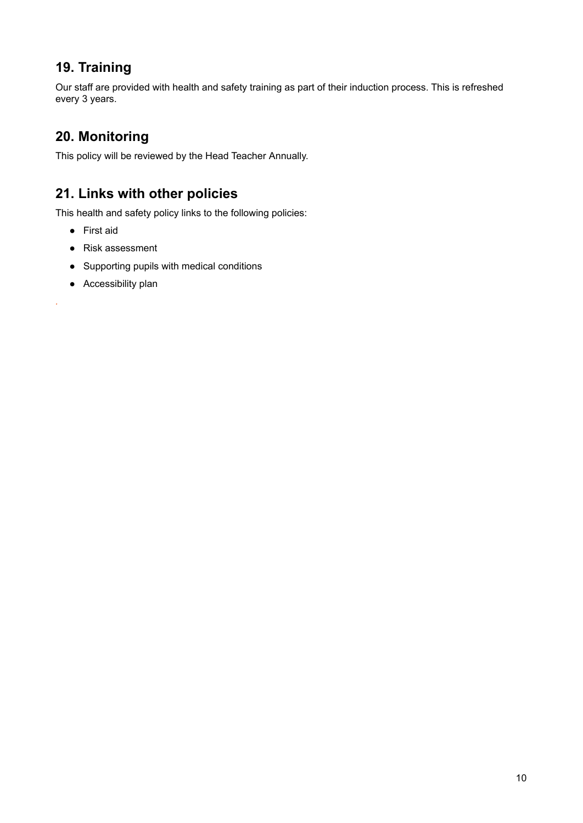# **19. Training**

<span id="page-9-0"></span>Our staff are provided with health and safety training as part of their induction process. This is refreshed every 3 years.

# **20. Monitoring**

<span id="page-9-1"></span>This policy will be reviewed by the Head Teacher Annually.

# **21. Links with other policies**

This health and safety policy links to the following policies:

● First aid

*.*

- Risk assessment
- Supporting pupils with medical conditions
- Accessibility plan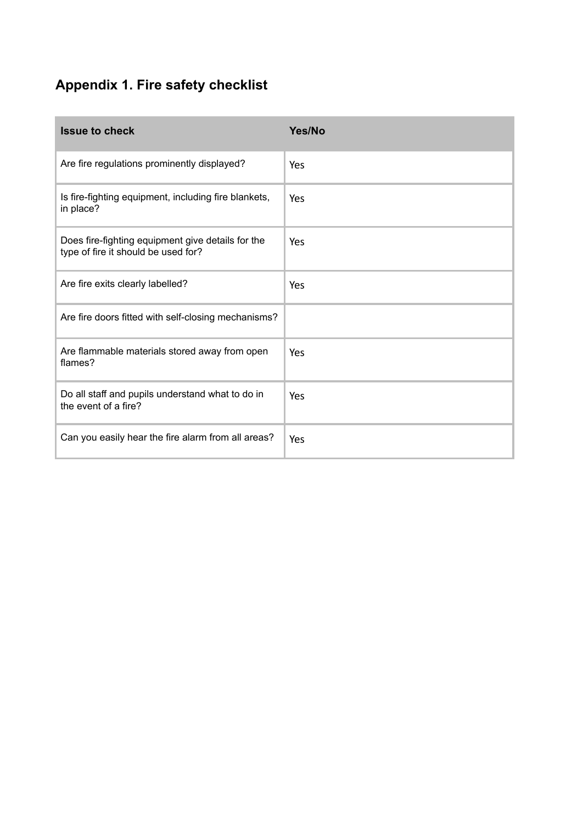# **Appendix 1. Fire safety checklist**

| <b>Issue to check</b>                                                                    | Yes/No |
|------------------------------------------------------------------------------------------|--------|
| Are fire regulations prominently displayed?                                              | Yes    |
| Is fire-fighting equipment, including fire blankets,<br>in place?                        | Yes    |
| Does fire-fighting equipment give details for the<br>type of fire it should be used for? | Yes    |
| Are fire exits clearly labelled?                                                         | Yes    |
| Are fire doors fitted with self-closing mechanisms?                                      |        |
| Are flammable materials stored away from open<br>flames?                                 | Yes    |
| Do all staff and pupils understand what to do in<br>the event of a fire?                 | Yes    |
| Can you easily hear the fire alarm from all areas?                                       | Yes    |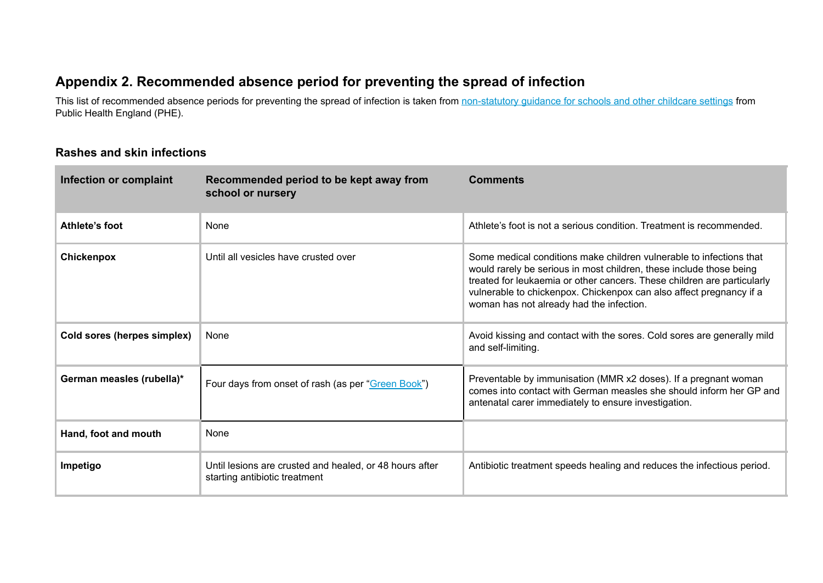### **Appendix 2. Recommended absence period for preventing the spread of infection**

This list of recommended absence periods for preventing the spread of infection is taken from [non-statutory](https://www.gov.uk/government/uploads/system/uploads/attachment_data/file/522337/Guidance_on_infection_control_in_schools.pdf) guidance for schools and other childcare settings from Public Health England (PHE).

#### **Rashes and skin infections**

| Infection or complaint      | Recommended period to be kept away from<br>school or nursery                             | <b>Comments</b>                                                                                                                                                                                                                                                                                                                          |
|-----------------------------|------------------------------------------------------------------------------------------|------------------------------------------------------------------------------------------------------------------------------------------------------------------------------------------------------------------------------------------------------------------------------------------------------------------------------------------|
| Athlete's foot              | None                                                                                     | Athlete's foot is not a serious condition. Treatment is recommended.                                                                                                                                                                                                                                                                     |
| Chickenpox                  | Until all vesicles have crusted over                                                     | Some medical conditions make children vulnerable to infections that<br>would rarely be serious in most children, these include those being<br>treated for leukaemia or other cancers. These children are particularly<br>vulnerable to chickenpox. Chickenpox can also affect pregnancy if a<br>woman has not already had the infection. |
| Cold sores (herpes simplex) | None                                                                                     | Avoid kissing and contact with the sores. Cold sores are generally mild<br>and self-limiting.                                                                                                                                                                                                                                            |
| German measles (rubella)*   | Four days from onset of rash (as per "Green Book")                                       | Preventable by immunisation (MMR x2 doses). If a pregnant woman<br>comes into contact with German measles she should inform her GP and<br>antenatal carer immediately to ensure investigation.                                                                                                                                           |
| Hand, foot and mouth        | None                                                                                     |                                                                                                                                                                                                                                                                                                                                          |
| Impetigo                    | Until lesions are crusted and healed, or 48 hours after<br>starting antibiotic treatment | Antibiotic treatment speeds healing and reduces the infectious period.                                                                                                                                                                                                                                                                   |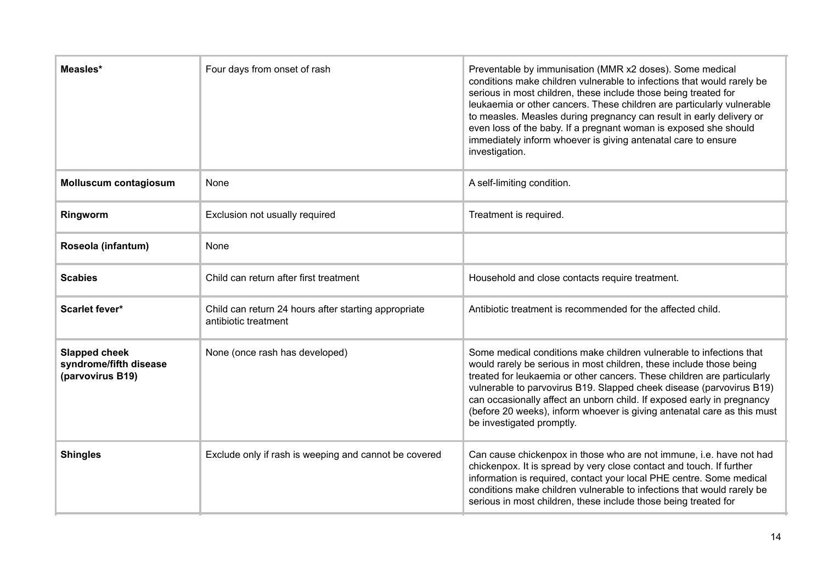| Measles*                                                           | Four days from onset of rash                                                 | Preventable by immunisation (MMR x2 doses). Some medical<br>conditions make children vulnerable to infections that would rarely be<br>serious in most children, these include those being treated for<br>leukaemia or other cancers. These children are particularly vulnerable<br>to measles. Measles during pregnancy can result in early delivery or<br>even loss of the baby. If a pregnant woman is exposed she should<br>immediately inform whoever is giving antenatal care to ensure<br>investigation. |
|--------------------------------------------------------------------|------------------------------------------------------------------------------|----------------------------------------------------------------------------------------------------------------------------------------------------------------------------------------------------------------------------------------------------------------------------------------------------------------------------------------------------------------------------------------------------------------------------------------------------------------------------------------------------------------|
| <b>Molluscum contagiosum</b>                                       | None                                                                         | A self-limiting condition.                                                                                                                                                                                                                                                                                                                                                                                                                                                                                     |
| Ringworm                                                           | Exclusion not usually required                                               | Treatment is required.                                                                                                                                                                                                                                                                                                                                                                                                                                                                                         |
| Roseola (infantum)                                                 | None                                                                         |                                                                                                                                                                                                                                                                                                                                                                                                                                                                                                                |
| <b>Scabies</b>                                                     | Child can return after first treatment                                       | Household and close contacts require treatment.                                                                                                                                                                                                                                                                                                                                                                                                                                                                |
| <b>Scarlet fever*</b>                                              | Child can return 24 hours after starting appropriate<br>antibiotic treatment | Antibiotic treatment is recommended for the affected child.                                                                                                                                                                                                                                                                                                                                                                                                                                                    |
| <b>Slapped cheek</b><br>syndrome/fifth disease<br>(parvovirus B19) | None (once rash has developed)                                               | Some medical conditions make children vulnerable to infections that<br>would rarely be serious in most children, these include those being<br>treated for leukaemia or other cancers. These children are particularly<br>vulnerable to parvovirus B19. Slapped cheek disease (parvovirus B19)<br>can occasionally affect an unborn child. If exposed early in pregnancy<br>(before 20 weeks), inform whoever is giving antenatal care as this must<br>be investigated promptly.                                |
| <b>Shingles</b>                                                    | Exclude only if rash is weeping and cannot be covered                        | Can cause chickenpox in those who are not immune, i.e. have not had<br>chickenpox. It is spread by very close contact and touch. If further<br>information is required, contact your local PHE centre. Some medical<br>conditions make children vulnerable to infections that would rarely be<br>serious in most children, these include those being treated for                                                                                                                                               |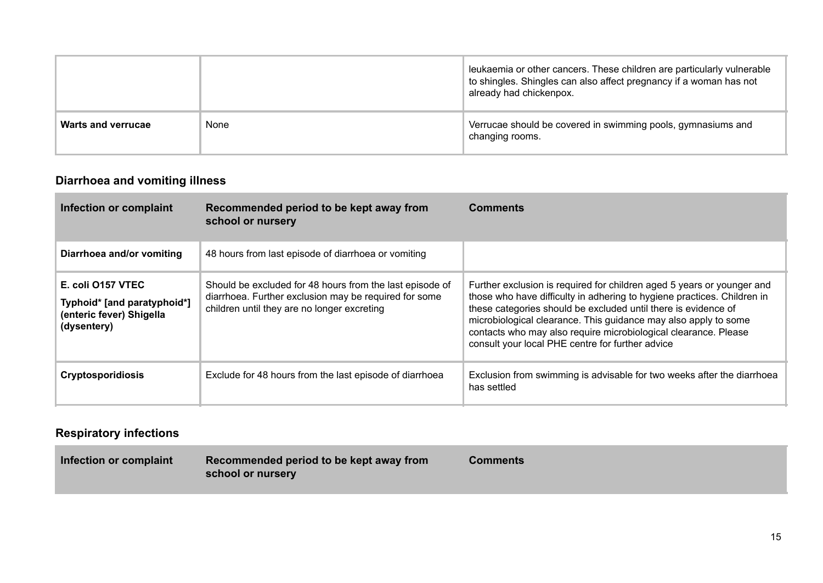|                    |      | leukaemia or other cancers. These children are particularly vulnerable<br>to shingles. Shingles can also affect pregnancy if a woman has not<br>already had chickenpox. |
|--------------------|------|-------------------------------------------------------------------------------------------------------------------------------------------------------------------------|
| Warts and verrucae | None | Verrucae should be covered in swimming pools, gymnasiums and<br>changing rooms.                                                                                         |

# **Diarrhoea and vomiting illness**

| Infection or complaint                                                                      | Recommended period to be kept away from<br>school or nursery                                                                                                     | <b>Comments</b>                                                                                                                                                                                                                                                                                                                                                                                               |
|---------------------------------------------------------------------------------------------|------------------------------------------------------------------------------------------------------------------------------------------------------------------|---------------------------------------------------------------------------------------------------------------------------------------------------------------------------------------------------------------------------------------------------------------------------------------------------------------------------------------------------------------------------------------------------------------|
| Diarrhoea and/or vomiting                                                                   | 48 hours from last episode of diarrhoea or vomiting                                                                                                              |                                                                                                                                                                                                                                                                                                                                                                                                               |
| E. coli 0157 VTEC<br>Typhoid* [and paratyphoid*]<br>(enteric fever) Shigella<br>(dysentery) | Should be excluded for 48 hours from the last episode of<br>diarrhoea. Further exclusion may be required for some<br>children until they are no longer excreting | Further exclusion is required for children aged 5 years or younger and<br>those who have difficulty in adhering to hygiene practices. Children in<br>these categories should be excluded until there is evidence of<br>microbiological clearance. This guidance may also apply to some<br>contacts who may also require microbiological clearance. Please<br>consult your local PHE centre for further advice |
| <b>Cryptosporidiosis</b>                                                                    | Exclude for 48 hours from the last episode of diarrhoea                                                                                                          | Exclusion from swimming is advisable for two weeks after the diarrhoea<br>has settled                                                                                                                                                                                                                                                                                                                         |

### **Respiratory infections**

| <b>Comments</b> |
|-----------------|
|-----------------|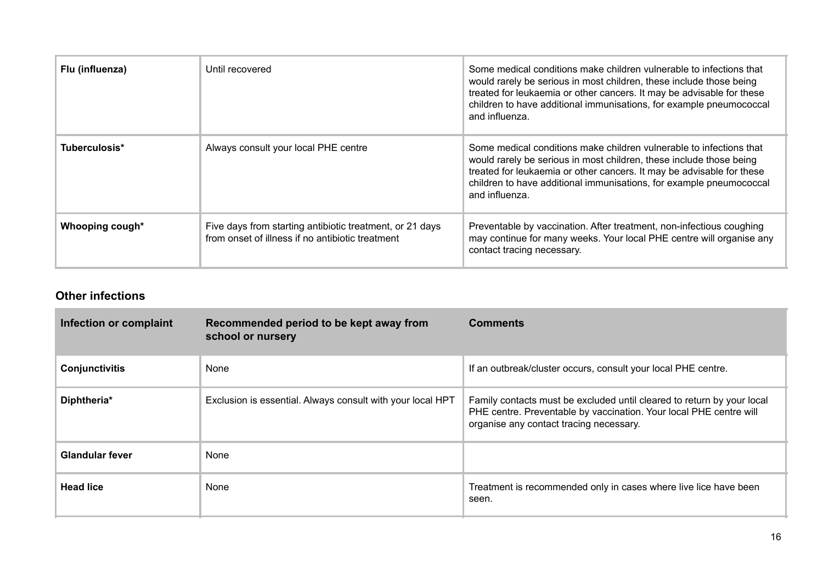| Flu (influenza) | Until recovered                                                                                              | Some medical conditions make children vulnerable to infections that<br>would rarely be serious in most children, these include those being<br>treated for leukaemia or other cancers. It may be advisable for these<br>children to have additional immunisations, for example pneumococcal<br>and influenza. |
|-----------------|--------------------------------------------------------------------------------------------------------------|--------------------------------------------------------------------------------------------------------------------------------------------------------------------------------------------------------------------------------------------------------------------------------------------------------------|
| Tuberculosis*   | Always consult your local PHE centre                                                                         | Some medical conditions make children vulnerable to infections that<br>would rarely be serious in most children, these include those being<br>treated for leukaemia or other cancers. It may be advisable for these<br>children to have additional immunisations, for example pneumococcal<br>and influenza. |
| Whooping cough* | Five days from starting antibiotic treatment, or 21 days<br>from onset of illness if no antibiotic treatment | Preventable by vaccination. After treatment, non-infectious coughing<br>may continue for many weeks. Your local PHE centre will organise any<br>contact tracing necessary.                                                                                                                                   |

### **Other infections**

| Infection or complaint | Recommended period to be kept away from<br>school or nursery | <b>Comments</b>                                                                                                                                                                         |
|------------------------|--------------------------------------------------------------|-----------------------------------------------------------------------------------------------------------------------------------------------------------------------------------------|
| Conjunctivitis         | None                                                         | If an outbreak/cluster occurs, consult your local PHE centre.                                                                                                                           |
| Diphtheria*            | Exclusion is essential. Always consult with your local HPT   | Family contacts must be excluded until cleared to return by your local<br>PHE centre. Preventable by vaccination. Your local PHE centre will<br>organise any contact tracing necessary. |
| <b>Glandular fever</b> | None                                                         |                                                                                                                                                                                         |
| <b>Head lice</b>       | None                                                         | Treatment is recommended only in cases where live lice have been<br>seen.                                                                                                               |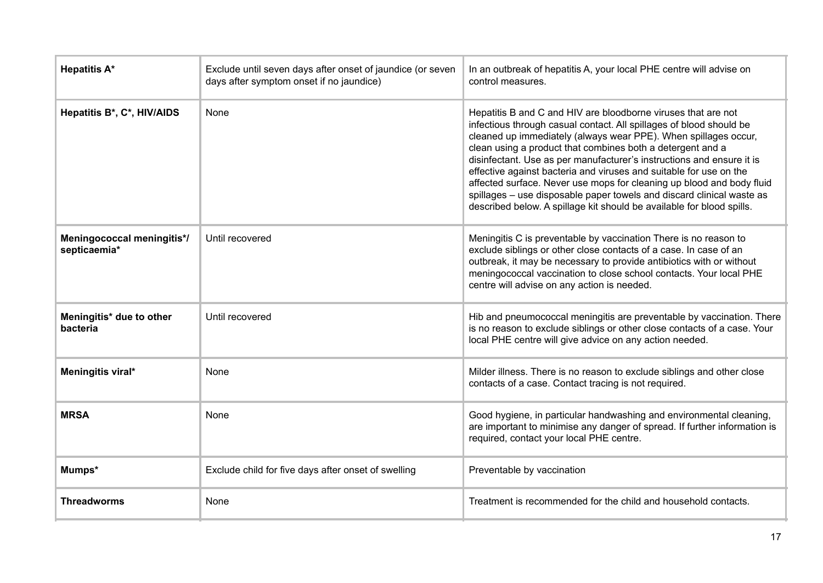| <b>Hepatitis A*</b>                        | Exclude until seven days after onset of jaundice (or seven<br>days after symptom onset if no jaundice) | In an outbreak of hepatitis A, your local PHE centre will advise on<br>control measures.                                                                                                                                                                                                                                                                                                                                                                                                                                                                                                                                                        |
|--------------------------------------------|--------------------------------------------------------------------------------------------------------|-------------------------------------------------------------------------------------------------------------------------------------------------------------------------------------------------------------------------------------------------------------------------------------------------------------------------------------------------------------------------------------------------------------------------------------------------------------------------------------------------------------------------------------------------------------------------------------------------------------------------------------------------|
| Hepatitis B*, C*, HIV/AIDS                 | None                                                                                                   | Hepatitis B and C and HIV are bloodborne viruses that are not<br>infectious through casual contact. All spillages of blood should be<br>cleaned up immediately (always wear PPE). When spillages occur,<br>clean using a product that combines both a detergent and a<br>disinfectant. Use as per manufacturer's instructions and ensure it is<br>effective against bacteria and viruses and suitable for use on the<br>affected surface. Never use mops for cleaning up blood and body fluid<br>spillages - use disposable paper towels and discard clinical waste as<br>described below. A spillage kit should be available for blood spills. |
| Meningococcal meningitis*/<br>septicaemia* | Until recovered                                                                                        | Meningitis C is preventable by vaccination There is no reason to<br>exclude siblings or other close contacts of a case. In case of an<br>outbreak, it may be necessary to provide antibiotics with or without<br>meningococcal vaccination to close school contacts. Your local PHE<br>centre will advise on any action is needed.                                                                                                                                                                                                                                                                                                              |
| Meningitis* due to other<br>bacteria       | Until recovered                                                                                        | Hib and pneumococcal meningitis are preventable by vaccination. There<br>is no reason to exclude siblings or other close contacts of a case. Your<br>local PHE centre will give advice on any action needed.                                                                                                                                                                                                                                                                                                                                                                                                                                    |
| Meningitis viral*                          | None                                                                                                   | Milder illness. There is no reason to exclude siblings and other close<br>contacts of a case. Contact tracing is not required.                                                                                                                                                                                                                                                                                                                                                                                                                                                                                                                  |
| <b>MRSA</b>                                | None                                                                                                   | Good hygiene, in particular handwashing and environmental cleaning,<br>are important to minimise any danger of spread. If further information is<br>required, contact your local PHE centre.                                                                                                                                                                                                                                                                                                                                                                                                                                                    |
| Mumps*                                     | Exclude child for five days after onset of swelling                                                    | Preventable by vaccination                                                                                                                                                                                                                                                                                                                                                                                                                                                                                                                                                                                                                      |
| <b>Threadworms</b>                         | None                                                                                                   | Treatment is recommended for the child and household contacts.                                                                                                                                                                                                                                                                                                                                                                                                                                                                                                                                                                                  |